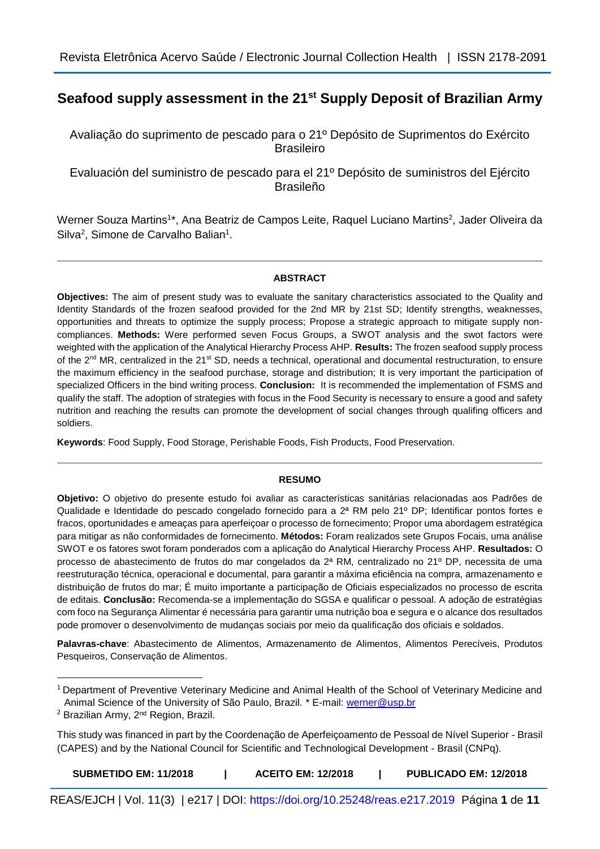# **Seafood supply assessment in the 21st Supply Deposit of Brazilian Army**

Avaliação do suprimento de pescado para o 21º Depósito de Suprimentos do Exército Brasileiro

Evaluación del suministro de pescado para el 21º Depósito de suministros del Ejército Brasileño

Werner Souza Martins<sup>1\*</sup>, Ana Beatriz de Campos Leite, Raquel Luciano Martins<sup>2</sup>, Jader Oliveira da Silva<sup>2</sup>, Simone de Carvalho Balian<sup>1</sup>.

# **ABSTRACT**

**Objectives:** The aim of present study was to evaluate the sanitary characteristics associated to the Quality and Identity Standards of the frozen seafood provided for the 2nd MR by 21st SD; Identify strengths, weaknesses, opportunities and threats to optimize the supply process; Propose a strategic approach to mitigate supply noncompliances. **Methods:** Were performed seven Focus Groups, a SWOT analysis and the swot factors were weighted with the application of the Analytical Hierarchy Process AHP. **Results:** The frozen seafood supply process of the 2<sup>nd</sup> MR, centralized in the 21<sup>st</sup> SD, needs a technical, operational and documental restructuration, to ensure the maximum efficiency in the seafood purchase, storage and distribution; It is very important the participation of specialized Officers in the bind writing process. **Conclusion:** It is recommended the implementation of FSMS and qualify the staff. The adoption of strategies with focus in the Food Security is necessary to ensure a good and safety nutrition and reaching the results can promote the development of social changes through qualifing officers and soldiers.

**Keywords**: Food Supply, Food Storage, Perishable Foods, Fish Products, Food Preservation.

## **RESUMO**

**Objetivo:** O objetivo do presente estudo foi avaliar as características sanitárias relacionadas aos Padrões de Qualidade e Identidade do pescado congelado fornecido para a 2ª RM pelo 21º DP; Identificar pontos fortes e fracos, oportunidades e ameaças para aperfeiçoar o processo de fornecimento; Propor uma abordagem estratégica para mitigar as não conformidades de fornecimento. **Métodos:** Foram realizados sete Grupos Focais, uma análise SWOT e os fatores swot foram ponderados com a aplicação do Analytical Hierarchy Process AHP. **Resultados:** O processo de abastecimento de frutos do mar congelados da 2ª RM, centralizado no 21º DP, necessita de uma reestruturação técnica, operacional e documental, para garantir a máxima eficiência na compra, armazenamento e distribuição de frutos do mar; É muito importante a participação de Oficiais especializados no processo de escrita de editais. **Conclusão:** Recomenda-se a implementação do SGSA e qualificar o pessoal. A adoção de estratégias com foco na Segurança Alimentar é necessária para garantir uma nutrição boa e segura e o alcance dos resultados pode promover o desenvolvimento de mudanças sociais por meio da qualificação dos oficiais e soldados.

**Palavras-chave**: Abastecimento de Alimentos, Armazenamento de Alimentos, Alimentos Perecíveis, Produtos Pesqueiros, Conservação de Alimentos.

**.** 

REAS/EJCH | Vol. 11(3) | e217 | DOI: <https://doi.org/10.25248/reas.e217.2019>Página **1** de **11**

<sup>&</sup>lt;sup>1</sup> Department of Preventive Veterinary Medicine and Animal Health of the School of Veterinary Medicine and Animal Science of the University of São Paulo, Brazil. \* E-mail: [werner@usp.br](mailto:werner@usp.br)

<sup>&</sup>lt;sup>2</sup> Brazilian Army, 2<sup>nd</sup> Region, Brazil.

This study was financed in part by the Coordenação de Aperfeiçoamento de Pessoal de Nível Superior - Brasil (CAPES) and by the National Council for Scientific and Technological Development - Brasil (CNPq).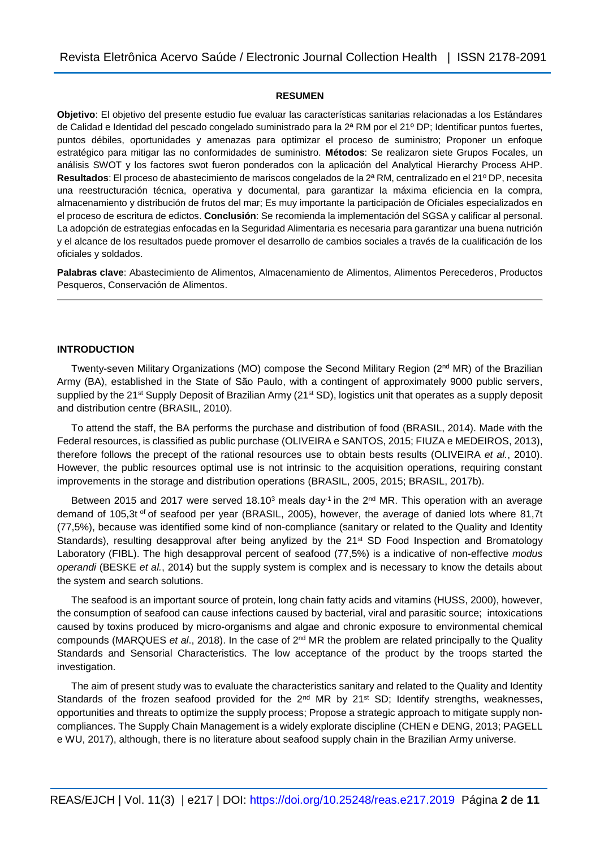#### **RESUMEN**

**Objetivo**: El objetivo del presente estudio fue evaluar las características sanitarias relacionadas a los Estándares de Calidad e Identidad del pescado congelado suministrado para la 2ª RM por el 21º DP; Identificar puntos fuertes, puntos débiles, oportunidades y amenazas para optimizar el proceso de suministro; Proponer un enfoque estratégico para mitigar las no conformidades de suministro. **Métodos**: Se realizaron siete Grupos Focales, un análisis SWOT y los factores swot fueron ponderados con la aplicación del Analytical Hierarchy Process AHP. **Resultados**: El proceso de abastecimiento de mariscos congelados de la 2ª RM, centralizado en el 21º DP, necesita una reestructuración técnica, operativa y documental, para garantizar la máxima eficiencia en la compra, almacenamiento y distribución de frutos del mar; Es muy importante la participación de Oficiales especializados en el proceso de escritura de edictos. **Conclusión**: Se recomienda la implementación del SGSA y calificar al personal. La adopción de estrategias enfocadas en la Seguridad Alimentaria es necesaria para garantizar una buena nutrición y el alcance de los resultados puede promover el desarrollo de cambios sociales a través de la cualificación de los oficiales y soldados.

**Palabras clave**: Abastecimiento de Alimentos, Almacenamiento de Alimentos, Alimentos Perecederos, Productos Pesqueros, Conservación de Alimentos.

## **INTRODUCTION**

Twenty-seven Military Organizations (MO) compose the Second Military Region (2<sup>nd</sup> MR) of the Brazilian Army (BA), established in the State of São Paulo, with a contingent of approximately 9000 public servers, supplied by the 21<sup>st</sup> Supply Deposit of Brazilian Army (21<sup>st</sup> SD), logistics unit that operates as a supply deposit and distribution centre (BRASIL, 2010).

To attend the staff, the BA performs the purchase and distribution of food (BRASIL, 2014). Made with the Federal resources, is classified as public purchase (OLIVEIRA e SANTOS, 2015; FIUZA e MEDEIROS, 2013), therefore follows the precept of the rational resources use to obtain bests results (OLIVEIRA *et al.*, 2010). However, the public resources optimal use is not intrinsic to the acquisition operations, requiring constant improvements in the storage and distribution operations (BRASIL, 2005, 2015; BRASIL, 2017b).

Between 2015 and 2017 were served 18.10<sup>3</sup> meals day<sup>-1</sup> in the  $2<sup>nd</sup> MR$ . This operation with an average demand of 105,3t of of seafood per year (BRASIL, 2005), however, the average of danied lots where 81,7t (77,5%), because was identified some kind of non-compliance (sanitary or related to the Quality and Identity Standards), resulting desapproval after being anylized by the 21<sup>st</sup> SD Food Inspection and Bromatology Laboratory (FIBL). The high desapproval percent of seafood (77,5%) is a indicative of non-effective *modus operandi* (BESKE *et al.*, 2014) but the supply system is complex and is necessary to know the details about the system and search solutions.

The seafood is an important source of protein, long chain fatty acids and vitamins (HUSS, 2000), however, the consumption of seafood can cause infections caused by bacterial, viral and parasitic source; intoxications caused by toxins produced by micro-organisms and algae and chronic exposure to environmental chemical compounds (MARQUES *et al*., 2018). In the case of 2nd MR the problem are related principally to the Quality Standards and Sensorial Characteristics. The low acceptance of the product by the troops started the investigation.

The aim of present study was to evaluate the characteristics sanitary and related to the Quality and Identity Standards of the frozen seafood provided for the 2<sup>nd</sup> MR by 21<sup>st</sup> SD; Identify strengths, weaknesses, opportunities and threats to optimize the supply process; Propose a strategic approach to mitigate supply noncompliances. The Supply Chain Management is a widely explorate discipline (CHEN e DENG, 2013; PAGELL e WU, 2017), although, there is no literature about seafood supply chain in the Brazilian Army universe.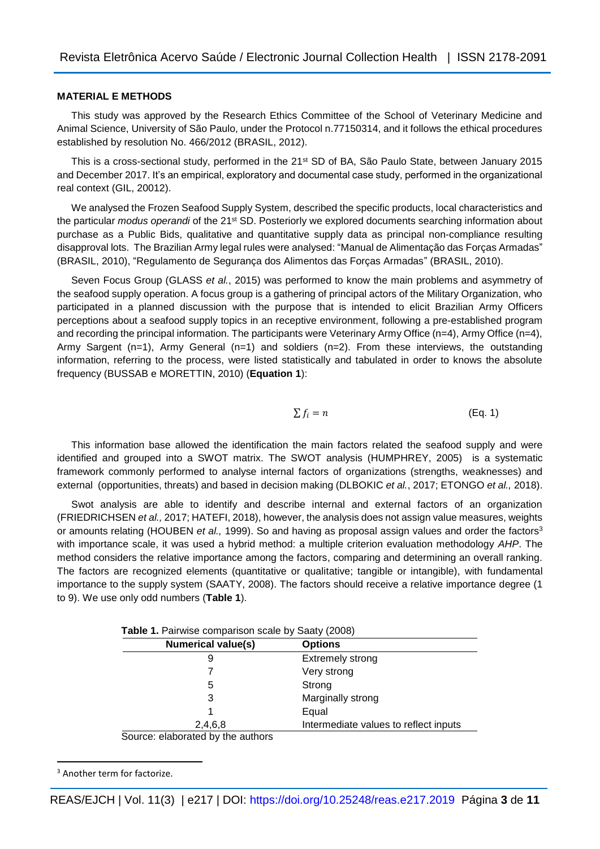## **MATERIAL E METHODS**

This study was approved by the Research Ethics Committee of the School of Veterinary Medicine and Animal Science, University of São Paulo, under the Protocol n.77150314, and it follows the ethical procedures established by resolution No. 466/2012 (BRASIL, 2012).

This is a cross-sectional study, performed in the 21<sup>st</sup> SD of BA, São Paulo State, between January 2015 and December 2017. It's an empirical, exploratory and documental case study, performed in the organizational real context (GIL, 20012).

We analysed the Frozen Seafood Supply System, described the specific products, local characteristics and the particular *modus operandi* of the 21st SD. Posteriorly we explored documents searching information about purchase as a Public Bids, qualitative and quantitative supply data as principal non-compliance resulting disapproval lots. The Brazilian Army legal rules were analysed: "Manual de Alimentação das Forças Armadas" (BRASIL, 2010), "Regulamento de Segurança dos Alimentos das Forças Armadas" (BRASIL, 2010).

Seven Focus Group (GLASS *et al.*, 2015) was performed to know the main problems and asymmetry of the seafood supply operation. A focus group is a gathering of principal actors of the Military Organization, who participated in a planned discussion with the purpose that is intended to elicit Brazilian Army Officers perceptions about a seafood supply topics in an receptive environment, following a pre-established program and recording the principal information. The participants were Veterinary Army Office (n=4), Army Office (n=4), Army Sargent (n=1), Army General (n=1) and soldiers (n=2). From these interviews, the outstanding information, referring to the process, were listed statistically and tabulated in order to knows the absolute frequency (BUSSAB e MORETTIN, 2010) (**Equation 1**):

$$
\sum f_i = n \tag{Eq. 1}
$$

This information base allowed the identification the main factors related the seafood supply and were identified and grouped into a SWOT matrix. The SWOT analysis (HUMPHREY, 2005) is a systematic framework commonly performed to analyse internal factors of organizations (strengths, weaknesses) and external (opportunities, threats) and based in decision making (DLBOKIC *et al.*, 2017; ETONGO *et al.,* 2018).

Swot analysis are able to identify and describe internal and external factors of an organization (FRIEDRICHSEN *et al.,* 2017; HATEFI, 2018), however, the analysis does not assign value measures, weights or amounts relating (HOUBEN *et al.,* 1999). So and having as proposal assign values and order the factors<sup>3</sup> with importance scale, it was used a hybrid method: a multiple criterion evaluation methodology *AHP*. The method considers the relative importance among the factors, comparing and determining an overall ranking. The factors are recognized elements (quantitative or qualitative; tangible or intangible), with fundamental importance to the supply system (SAATY, 2008). The factors should receive a relative importance degree (1 to 9). We use only odd numbers (**Table 1**).

| <b>Table 1.</b> Pairwise comparison scale by Saaty (2008) |                                       |  |  |  |
|-----------------------------------------------------------|---------------------------------------|--|--|--|
| <b>Numerical value(s)</b>                                 | <b>Options</b>                        |  |  |  |
| 9                                                         | <b>Extremely strong</b>               |  |  |  |
|                                                           | Very strong                           |  |  |  |
| 5                                                         | Strong                                |  |  |  |
| 3                                                         | Marginally strong                     |  |  |  |
|                                                           | Equal                                 |  |  |  |
| 2,4,6,8                                                   | Intermediate values to reflect inputs |  |  |  |
| Source: elaborated by the authors                         |                                       |  |  |  |

**Table 1.** Pairwise comparison scale by Saaty (2008)

<sup>3</sup> Another term for factorize.

1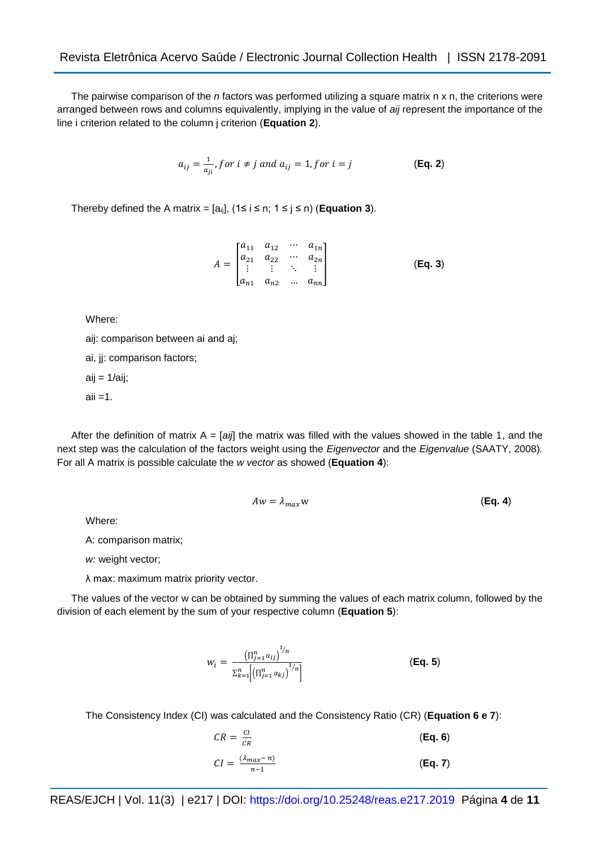The pairwise comparison of the *n* factors was performed utilizing a square matrix n x n, the criterions were arranged between rows and columns equivalently, implying in the value of *aij* represent the importance of the line i criterion related to the column j criterion (**Equation 2**).

$$
a_{ij} = \frac{1}{a_{ji}} \text{, for } i \neq j \text{ and } a_{ij} = 1 \text{, for } i = j \tag{Eq. 2}
$$

Thereby defined the A matrix =  $[a_{ij}]$ ,  $(1 \le i \le n; 1 \le j \le n)$  (**Equation 3**).

$$
A = \begin{bmatrix} a_{11} & a_{12} & \cdots & a_{1n} \\ a_{21} & a_{22} & \cdots & a_{2n} \\ \vdots & \vdots & \ddots & \vdots \\ a_{n1} & a_{n2} & \cdots & a_{nn} \end{bmatrix}
$$
 (Eq. 3)

Where:

aij: comparison between ai and aj;

ai, jj: comparison factors;

 $aij = 1/aij;$ 

 $aii = 1$ .

After the definition of matrix  $A = [ai]$  the matrix was filled with the values showed in the table 1, and the next step was the calculation of the factors weight using the *Eigenvector* and the *Eigenvalue* (SAATY, 2008)*.* For all A matrix is possible calculate the *w vector* as showed (**Equation 4**):

$$
Aw = \lambda_{max} w \tag{Eq. 4}
$$

Where:

A: comparison matrix;

*w:* weight vector;

λ max: maximum matrix priority vector.

The values of the vector w can be obtained by summing the values of each matrix column, followed by the division of each element by the sum of your respective column (**Equation 5**):

$$
w_{i} = \frac{\left(\prod_{j=1}^{n} a_{ij}\right)^{1/n}}{\sum_{k=1}^{n} \left(\prod_{j=1}^{n} a_{kj}\right)^{1/n}}
$$
\n(Eq. 5)

The Consistency Index (CI) was calculated and the Consistency Ratio (CR) (**Equation 6 e 7**):

$$
CR = \frac{Cl}{CR}
$$
 (Eq. 6)  

$$
CI = \frac{(\lambda_{max} - n)}{n - 1}
$$
 (Eq. 7)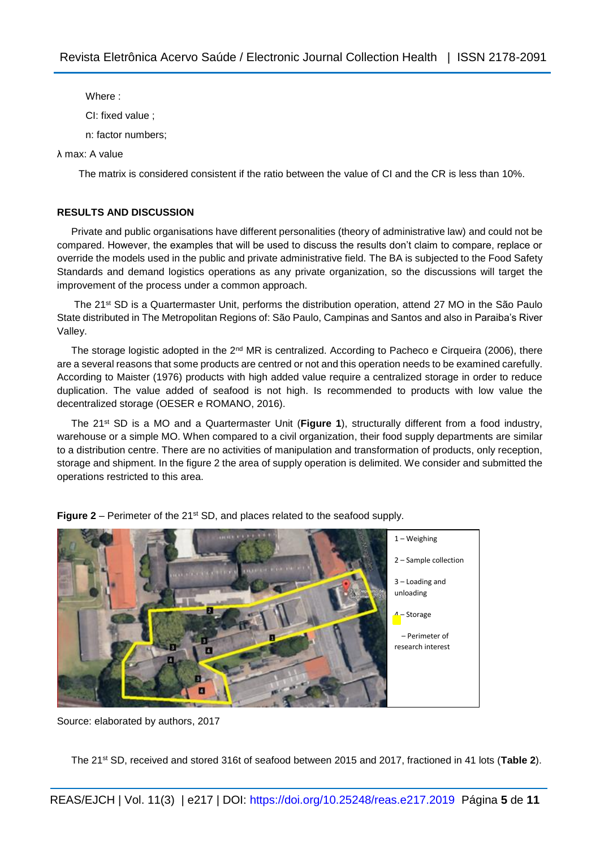Where :

CI: fixed value ;

n: factor numbers;

## λ max: A value

The matrix is considered consistent if the ratio between the value of CI and the CR is less than 10%.

# **RESULTS AND DISCUSSION**

Private and public organisations have different personalities (theory of administrative law) and could not be compared. However, the examples that will be used to discuss the results don't claim to compare, replace or override the models used in the public and private administrative field. The BA is subjected to the Food Safety Standards and demand logistics operations as any private organization, so the discussions will target the improvement of the process under a common approach.

The 21<sup>st</sup> SD is a Quartermaster Unit, performs the distribution operation, attend 27 MO in the São Paulo State distributed in The Metropolitan Regions of: São Paulo, Campinas and Santos and also in Paraiba's River Valley.

The storage logistic adopted in the  $2^{nd}$  MR is centralized. According to Pacheco e Cirqueira (2006), there are a several reasons that some products are centred or not and this operation needs to be examined carefully. According to Maister (1976) products with high added value require a centralized storage in order to reduce duplication. The value added of seafood is not high. Is recommended to products with low value the decentralized storage (OESER e ROMANO, 2016).

The 21st SD is a MO and a Quartermaster Unit (**Figure 1**), structurally different from a food industry, warehouse or a simple MO. When compared to a civil organization, their food supply departments are similar to a distribution centre. There are no activities of manipulation and transformation of products, only reception, storage and shipment. In the figure 2 the area of supply operation is delimited. We consider and submitted the operations restricted to this area.



**Figure 2** – Perimeter of the 21<sup>st</sup> SD, and places related to the seafood supply.

The 21st SD, received and stored 316t of seafood between 2015 and 2017, fractioned in 41 lots (**Table 2**).

Source: elaborated by authors, 2017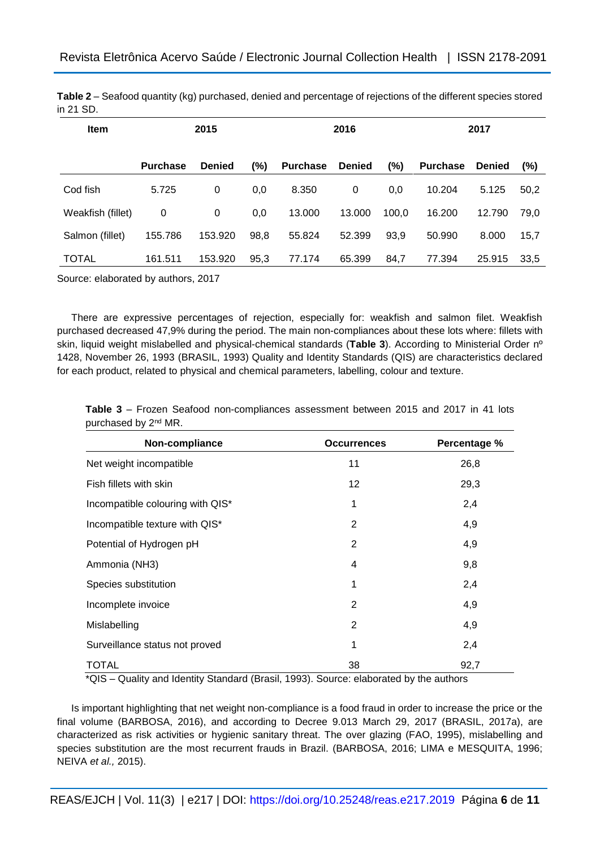| <b>Item</b>       | 2015            |               | 2016 |                 |               | 2017   |                 |               |        |
|-------------------|-----------------|---------------|------|-----------------|---------------|--------|-----------------|---------------|--------|
|                   | <b>Purchase</b> | <b>Denied</b> | (%)  | <b>Purchase</b> | <b>Denied</b> | $(\%)$ | <b>Purchase</b> | <b>Denied</b> | $(\%)$ |
| Cod fish          | 5.725           | 0             | 0,0  | 8.350           | 0             | 0,0    | 10.204          | 5.125         | 50,2   |
| Weakfish (fillet) | 0               | 0             | 0,0  | 13.000          | 13.000        | 100.0  | 16.200          | 12.790        | 79.0   |
| Salmon (fillet)   | 155.786         | 153.920       | 98,8 | 55.824          | 52.399        | 93,9   | 50.990          | 8.000         | 15,7   |
| <b>TOTAL</b>      | 161.511         | 153.920       | 95,3 | 77.174          | 65.399        | 84,7   | 77.394          | 25.915        | 33,5   |

**Table 2** – Seafood quantity (kg) purchased, denied and percentage of rejections of the different species stored in 21 SD.

Source: elaborated by authors, 2017

There are expressive percentages of rejection, especially for: weakfish and salmon filet. Weakfish purchased decreased 47,9% during the period. The main non-compliances about these lots where: fillets with skin, liquid weight mislabelled and physical-chemical standards (**Table 3**). According to Ministerial Order nº 1428, November 26, 1993 (BRASIL, 1993) Quality and Identity Standards (QIS) are characteristics declared for each product, related to physical and chemical parameters, labelling, colour and texture.

**Table 3** – Frozen Seafood non-compliances assessment between 2015 and 2017 in 41 lots purchased by 2nd MR.

| Non-compliance                   | <b>Occurrences</b> | Percentage % |
|----------------------------------|--------------------|--------------|
| Net weight incompatible          | 11                 | 26,8         |
| Fish fillets with skin           | 12                 | 29,3         |
| Incompatible colouring with QIS* | 1                  | 2,4          |
| Incompatible texture with QIS*   | 2                  | 4,9          |
| Potential of Hydrogen pH         | $\overline{2}$     | 4,9          |
| Ammonia (NH3)                    | 4                  | 9,8          |
| Species substitution             | 1                  | 2,4          |
| Incomplete invoice               | 2                  | 4,9          |
| Mislabelling                     | $\overline{2}$     | 4,9          |
| Surveillance status not proved   | 1                  | 2,4          |
| TOTAL                            | 38                 | 92,7         |

\*QIS – Quality and Identity Standard (Brasil, 1993). Source: elaborated by the authors

Is important highlighting that net weight non-compliance is a food fraud in order to increase the price or the final volume (BARBOSA, 2016), and according to Decree 9.013 March 29, 2017 (BRASIL, 2017a), are characterized as risk activities or hygienic sanitary threat. The over glazing (FAO, 1995), mislabelling and species substitution are the most recurrent frauds in Brazil. (BARBOSA, 2016; LIMA e MESQUITA, 1996; NEIVA *et al.,* 2015).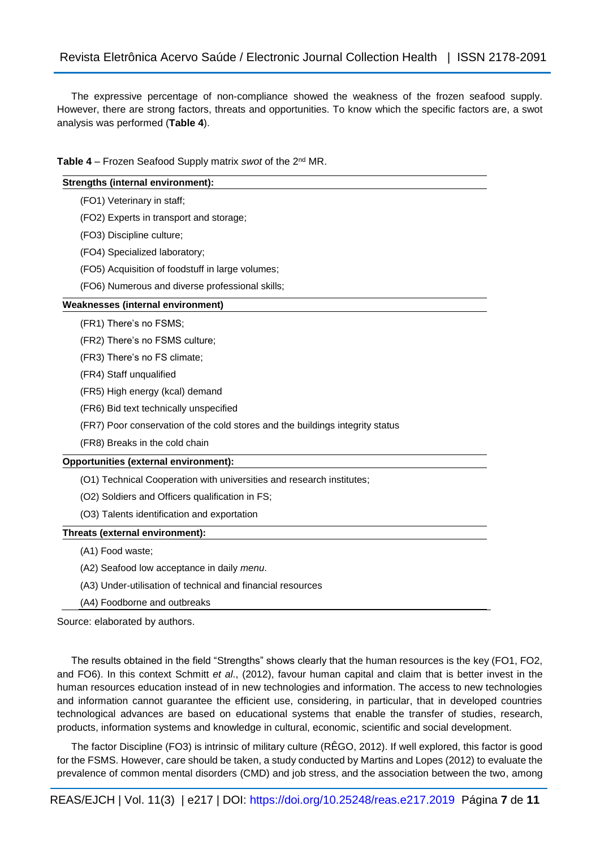The expressive percentage of non-compliance showed the weakness of the frozen seafood supply. However, there are strong factors, threats and opportunities. To know which the specific factors are, a swot analysis was performed (**Table 4**).

Table 4 – Frozen Seafood Supply matrix *swot* of the 2<sup>nd</sup> MR.

#### **Strengths (internal environment):**

- (FO1) Veterinary in staff;
- (FO2) Experts in transport and storage;
- (FO3) Discipline culture;
- (FO4) Specialized laboratory;
- (FO5) Acquisition of foodstuff in large volumes;
- (FO6) Numerous and diverse professional skills;

#### **Weaknesses (internal environment)**

(FR1) There's no FSMS;

(FR2) There's no FSMS culture;

- (FR3) There's no FS climate;
- (FR4) Staff unqualified
- (FR5) High energy (kcal) demand
- (FR6) Bid text technically unspecified
- (FR7) Poor conservation of the cold stores and the buildings integrity status
- (FR8) Breaks in the cold chain

## **Opportunities (external environment):**

- (O1) Technical Cooperation with universities and research institutes;
- (O2) Soldiers and Officers qualification in FS;
- (O3) Talents identification and exportation

## **Threats (external environment):**

- (A1) Food waste;
- (A2) Seafood low acceptance in daily *menu*.
- (A3) Under-utilisation of technical and financial resources
- (A4) Foodborne and outbreaks

Source: elaborated by authors.

The results obtained in the field "Strengths" shows clearly that the human resources is the key (FO1, FO2, and FO6). In this context Schmitt *et al*., (2012), favour human capital and claim that is better invest in the human resources education instead of in new technologies and information. The access to new technologies and information cannot guarantee the efficient use, considering, in particular, that in developed countries technological advances are based on educational systems that enable the transfer of studies, research, products, information systems and knowledge in cultural, economic, scientific and social development.

The factor Discipline (FO3) is intrinsic of military culture (RÊGO, 2012). If well explored, this factor is good for the FSMS. However, care should be taken, a study conducted by Martins and Lopes (2012) to evaluate the prevalence of common mental disorders (CMD) and job stress, and the association between the two, among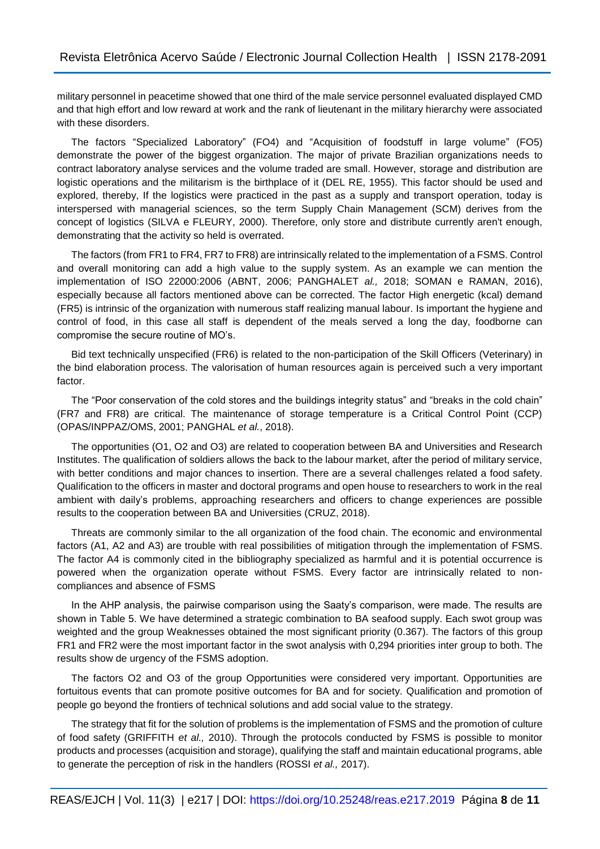military personnel in peacetime showed that one third of the male service personnel evaluated displayed CMD and that high effort and low reward at work and the rank of lieutenant in the military hierarchy were associated with these disorders.

The factors "Specialized Laboratory" (FO4) and "Acquisition of foodstuff in large volume" (FO5) demonstrate the power of the biggest organization. The major of private Brazilian organizations needs to contract laboratory analyse services and the volume traded are small. However, storage and distribution are logistic operations and the militarism is the birthplace of it (DEL RE, 1955). This factor should be used and explored, thereby, If the logistics were practiced in the past as a supply and transport operation, today is interspersed with managerial sciences, so the term Supply Chain Management (SCM) derives from the concept of logistics (SILVA e FLEURY, 2000). Therefore, only store and distribute currently aren't enough, demonstrating that the activity so held is overrated.

The factors (from FR1 to FR4, FR7 to FR8) are intrinsically related to the implementation of a FSMS. Control and overall monitoring can add a high value to the supply system. As an example we can mention the implementation of ISO 22000:2006 (ABNT, 2006; PANGHALET *al.,* 2018; SOMAN e RAMAN, 2016), especially because all factors mentioned above can be corrected. The factor High energetic (kcal) demand (FR5) is intrinsic of the organization with numerous staff realizing manual labour. Is important the hygiene and control of food, in this case all staff is dependent of the meals served a long the day, foodborne can compromise the secure routine of MO's.

Bid text technically unspecified (FR6) is related to the non-participation of the Skill Officers (Veterinary) in the bind elaboration process. The valorisation of human resources again is perceived such a very important factor.

The "Poor conservation of the cold stores and the buildings integrity status" and "breaks in the cold chain" (FR7 and FR8) are critical. The maintenance of storage temperature is a Critical Control Point (CCP) (OPAS/INPPAZ/OMS, 2001; PANGHAL *et al.*, 2018).

The opportunities (O1, O2 and O3) are related to cooperation between BA and Universities and Research Institutes. The qualification of soldiers allows the back to the labour market, after the period of military service, with better conditions and major chances to insertion. There are a several challenges related a food safety. Qualification to the officers in master and doctoral programs and open house to researchers to work in the real ambient with daily's problems, approaching researchers and officers to change experiences are possible results to the cooperation between BA and Universities (CRUZ, 2018).

Threats are commonly similar to the all organization of the food chain. The economic and environmental factors (A1, A2 and A3) are trouble with real possibilities of mitigation through the implementation of FSMS. The factor A4 is commonly cited in the bibliography specialized as harmful and it is potential occurrence is powered when the organization operate without FSMS. Every factor are intrinsically related to noncompliances and absence of FSMS

In the AHP analysis, the pairwise comparison using the Saaty's comparison, were made. The results are shown in Table 5. We have determined a strategic combination to BA seafood supply. Each swot group was weighted and the group Weaknesses obtained the most significant priority (0.367). The factors of this group FR1 and FR2 were the most important factor in the swot analysis with 0,294 priorities inter group to both. The results show de urgency of the FSMS adoption.

The factors O2 and O3 of the group Opportunities were considered very important. Opportunities are fortuitous events that can promote positive outcomes for BA and for society. Qualification and promotion of people go beyond the frontiers of technical solutions and add social value to the strategy.

The strategy that fit for the solution of problems is the implementation of FSMS and the promotion of culture of food safety (GRIFFITH *et al.,* 2010). Through the protocols conducted by FSMS is possible to monitor products and processes (acquisition and storage), qualifying the staff and maintain educational programs, able to generate the perception of risk in the handlers (ROSSI *et al.,* 2017).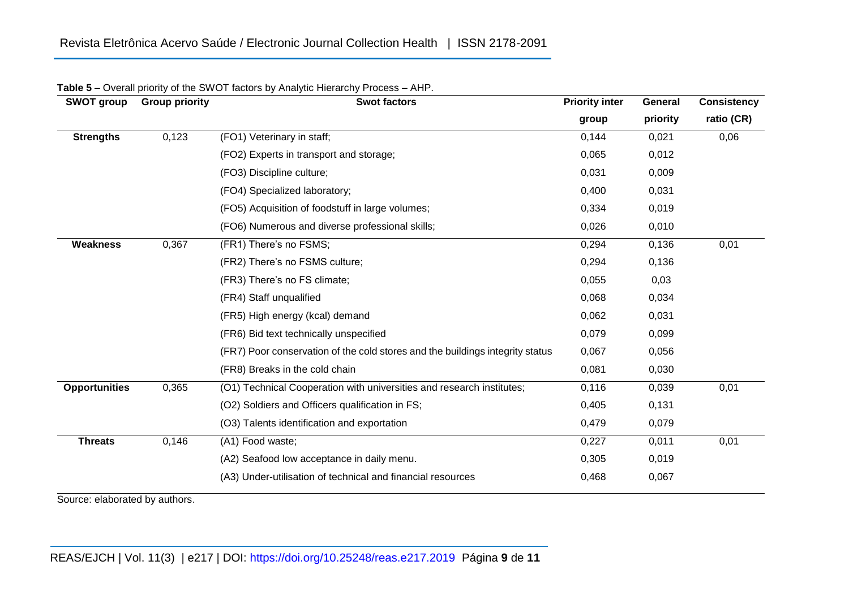| <b>SWOT group</b>    | <b>Group priority</b> | <b>Swot factors</b>                                                           | <b>Priority inter</b> | General  | <b>Consistency</b> |  |
|----------------------|-----------------------|-------------------------------------------------------------------------------|-----------------------|----------|--------------------|--|
|                      |                       |                                                                               | group                 | priority | ratio (CR)         |  |
| <b>Strengths</b>     | 0,123                 | (FO1) Veterinary in staff;                                                    | 0,144                 | 0,021    | 0,06               |  |
|                      |                       | (FO2) Experts in transport and storage;                                       | 0,065                 | 0,012    |                    |  |
|                      |                       | (FO3) Discipline culture;                                                     | 0,031                 | 0,009    |                    |  |
|                      |                       | (FO4) Specialized laboratory;                                                 | 0,400                 | 0,031    |                    |  |
|                      |                       | (FO5) Acquisition of foodstuff in large volumes;                              | 0,334                 | 0,019    |                    |  |
|                      |                       | (FO6) Numerous and diverse professional skills;                               | 0,026                 | 0,010    |                    |  |
| <b>Weakness</b>      | 0,367                 | (FR1) There's no FSMS;                                                        | 0,294                 | 0,136    | 0,01               |  |
|                      |                       | (FR2) There's no FSMS culture;                                                | 0,294                 | 0,136    |                    |  |
|                      |                       | (FR3) There's no FS climate;                                                  | 0,055                 | 0,03     |                    |  |
|                      |                       | (FR4) Staff unqualified                                                       | 0,068                 | 0,034    |                    |  |
|                      |                       | (FR5) High energy (kcal) demand                                               | 0,062                 | 0,031    |                    |  |
|                      |                       | (FR6) Bid text technically unspecified                                        | 0,079                 | 0,099    |                    |  |
|                      |                       | (FR7) Poor conservation of the cold stores and the buildings integrity status | 0,067                 | 0,056    |                    |  |
|                      |                       | (FR8) Breaks in the cold chain                                                | 0,081                 | 0,030    |                    |  |
| <b>Opportunities</b> | 0,365                 | (O1) Technical Cooperation with universities and research institutes;         | 0,116                 | 0,039    | 0,01               |  |
|                      |                       | (O2) Soldiers and Officers qualification in FS;                               | 0,405                 | 0,131    |                    |  |
|                      |                       | (O3) Talents identification and exportation                                   | 0,479                 | 0,079    |                    |  |
| <b>Threats</b>       | 0,146                 | (A1) Food waste;                                                              | 0,227                 | 0,011    | 0,01               |  |
|                      |                       | (A2) Seafood low acceptance in daily menu.                                    | 0,305                 | 0,019    |                    |  |
|                      |                       | (A3) Under-utilisation of technical and financial resources                   | 0,468                 | 0,067    |                    |  |

|  |  |  | Table 5 - Overall priority of the SWOT factors by Analytic Hierarchy Process - AHP. |  |
|--|--|--|-------------------------------------------------------------------------------------|--|
|--|--|--|-------------------------------------------------------------------------------------|--|

Source: elaborated by authors.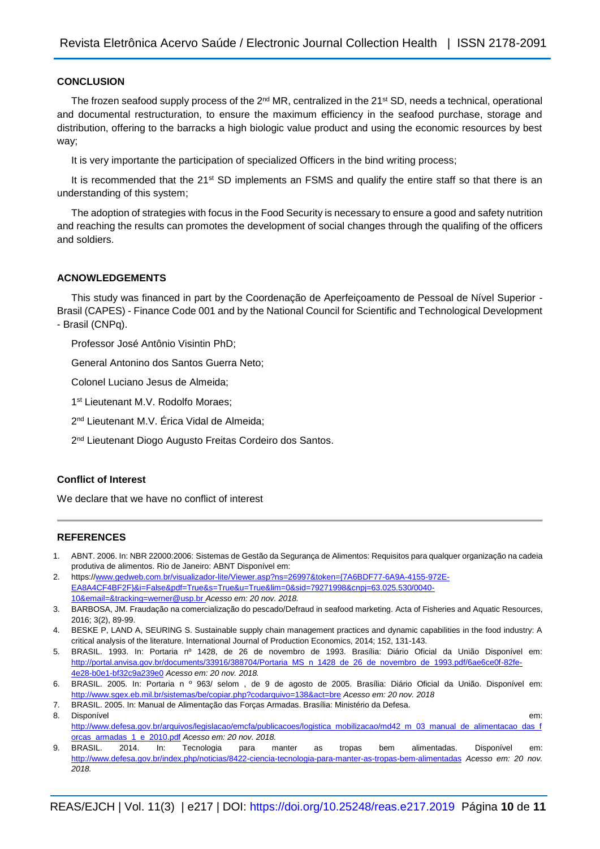## **CONCLUSION**

The frozen seafood supply process of the  $2<sup>nd</sup> MR$ , centralized in the  $21<sup>st</sup> SD$ , needs a technical, operational and documental restructuration, to ensure the maximum efficiency in the seafood purchase, storage and distribution, offering to the barracks a high biologic value product and using the economic resources by best way;

It is very importante the participation of specialized Officers in the bind writing process;

It is recommended that the 21<sup>st</sup> SD implements an FSMS and qualify the entire staff so that there is an understanding of this system;

The adoption of strategies with focus in the Food Security is necessary to ensure a good and safety nutrition and reaching the results can promotes the development of social changes through the qualifing of the officers and soldiers.

#### **ACNOWLEDGEMENTS**

This study was financed in part by the Coordenação de Aperfeiçoamento de Pessoal de Nível Superior - Brasil (CAPES) - Finance Code 001 and by the National Council for Scientific and Technological Development - Brasil (CNPq).

Professor José Antônio Visintin PhD;

General Antonino dos Santos Guerra Neto;

Colonel Luciano Jesus de Almeida;

1 st Lieutenant M.V. Rodolfo Moraes;

2 nd Lieutenant M.V. Érica Vidal de Almeida;

2<sup>nd</sup> Lieutenant Diogo Augusto Freitas Cordeiro dos Santos.

## **Conflict of Interest**

We declare that we have no conflict of interest

## **REFERENCES**

- 1. ABNT. 2006. In: NBR 22000:2006: Sistemas de Gestão da Segurança de Alimentos: Requisitos para qualquer organização na cadeia produtiva de alimentos. Rio de Janeiro: ABNT Disponível em:
- 2. https:/[/www.gedweb.com.br/visualizador-lite/Viewer.asp?ns=26997&token={7A6BDF77-6A9A-4155-972E-](http://www.gedweb.com.br/visualizador-lite/Viewer.asp?ns=26997&token=%7b7A6BDF77-6A9A-4155-972E-EA8A4CF4BF2F%7d&i=False&pdf=True&s=True&u=True&lim=0&sid=79271998&cnpj=63.025.530/0040-10&email=&tracking=werner@usp.br)[EA8A4CF4BF2F}&i=False&pdf=True&s=True&u=True&lim=0&sid=79271998&cnpj=63.025.530/0040-](http://www.gedweb.com.br/visualizador-lite/Viewer.asp?ns=26997&token=%7b7A6BDF77-6A9A-4155-972E-EA8A4CF4BF2F%7d&i=False&pdf=True&s=True&u=True&lim=0&sid=79271998&cnpj=63.025.530/0040-10&email=&tracking=werner@usp.br) [10&email=&tracking=werner@usp.br](http://www.gedweb.com.br/visualizador-lite/Viewer.asp?ns=26997&token=%7b7A6BDF77-6A9A-4155-972E-EA8A4CF4BF2F%7d&i=False&pdf=True&s=True&u=True&lim=0&sid=79271998&cnpj=63.025.530/0040-10&email=&tracking=werner@usp.br) *Acesso em: 20 nov. 2018.*

- 5. BRASIL. 1993. In: Portaria nº 1428, de 26 de novembro de 1993. Brasília: Diário Oficial da União Disponível em: [http://portal.anvisa.gov.br/documents/33916/388704/Portaria\\_MS\\_n\\_1428\\_de\\_26\\_de\\_novembro\\_de\\_1993.pdf/6ae6ce0f-82fe-](http://portal.anvisa.gov.br/documents/33916/388704/Portaria_MS_n_1428_de_26_de_novembro_de_1993.pdf/6ae6ce0f-82fe-4e28-b0e1-bf32c9a239e0)[4e28-b0e1-bf32c9a239e0](http://portal.anvisa.gov.br/documents/33916/388704/Portaria_MS_n_1428_de_26_de_novembro_de_1993.pdf/6ae6ce0f-82fe-4e28-b0e1-bf32c9a239e0) *Acesso em: 20 nov. 2018.*
- 6. BRASIL. 2005. In: Portaria n º 963/ selom , de 9 de agosto de 2005. Brasília: Diário Oficial da União. Disponível em: [http://www.sgex.eb.mil.br/sistemas/be/copiar.php?codarquivo=138&act=bre](http://www.sgex.eb.mil.br/sistemas/be/copiar.php?codarquivo=138&act=bre%20) *Acesso em: 20 nov. 2018*
- 7. BRASIL. 2005. In: Manual de Alimentação das Forças Armadas. Brasília: Ministério da Defesa. 8. Disponível em: the contract of the contract of the contract of the contract of the contract of the contract of the contract of the contract of the contract of the contract of the contract of the contract of the contract [http://www.defesa.gov.br/arquivos/legislacao/emcfa/publicacoes/logistica\\_mobilizacao/md42\\_m\\_03\\_manual\\_de\\_alimentacao\\_das\\_f](http://www.defesa.gov.br/arquivos/legislacao/emcfa/publicacoes/logistica_mobilizacao/md42_m_03_manual_de_alimentacao_das_forcas_armadas_1_e_2010.pdf)

<sup>3.</sup> BARBOSA, JM. Fraudação na comercialização do pescado/Defraud in seafood marketing. Acta of Fisheries and Aquatic Resources, 2016; 3(2), 89-99.

<sup>4.</sup> BESKE P, LAND A, SEURING S. Sustainable supply chain management practices and dynamic capabilities in the food industry: A critical analysis of the literature. International Journal of Production Economics, 2014; 152, 131-143.

[orcas\\_armadas\\_1\\_e\\_2010.pdf](http://www.defesa.gov.br/arquivos/legislacao/emcfa/publicacoes/logistica_mobilizacao/md42_m_03_manual_de_alimentacao_das_forcas_armadas_1_e_2010.pdf) *Acesso em: 20 nov. 2018.* 9. BRASIL. 2014. In: Tecnologia para manter as tropas bem alimentadas. Disponível em: <http://www.defesa.gov.br/index.php/noticias/8422-ciencia-tecnologia-para-manter-as-tropas-bem-alimentadas> *Acesso em: 20 nov. 2018.*